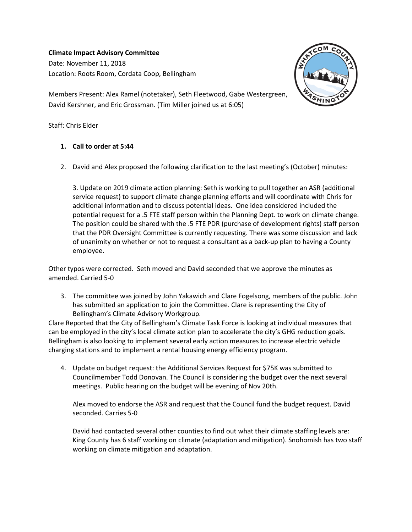## **Climate Impact Advisory Committee**

Date: November 11, 2018 Location: Roots Room, Cordata Coop, Bellingham



Members Present: Alex Ramel (notetaker), Seth Fleetwood, Gabe Westergreen, David Kershner, and Eric Grossman. (Tim Miller joined us at 6:05)

Staff: Chris Elder

## **1. Call to order at 5:44**

2. David and Alex proposed the following clarification to the last meeting's (October) minutes:

3. Update on 2019 climate action planning: Seth is working to pull together an ASR (additional service request) to support climate change planning efforts and will coordinate with Chris for additional information and to discuss potential ideas. One idea considered included the potential request for a .5 FTE staff person within the Planning Dept. to work on climate change. The position could be shared with the .5 FTE PDR (purchase of development rights) staff person that the PDR Oversight Committee is currently requesting. There was some discussion and lack of unanimity on whether or not to request a consultant as a back-up plan to having a County employee.

Other typos were corrected. Seth moved and David seconded that we approve the minutes as amended. Carried 5-0

3. The committee was joined by John Yakawich and Clare Fogelsong, members of the public. John has submitted an application to join the Committee. Clare is representing the City of Bellingham's Climate Advisory Workgroup.

Clare Reported that the City of Bellingham's Climate Task Force is looking at individual measures that can be employed in the city's local climate action plan to accelerate the city's GHG reduction goals. Bellingham is also looking to implement several early action measures to increase electric vehicle charging stations and to implement a rental housing energy efficiency program.

4. Update on budget request: the Additional Services Request for \$75K was submitted to Councilmember Todd Donovan. The Council is considering the budget over the next several meetings. Public hearing on the budget will be evening of Nov 20th.

Alex moved to endorse the ASR and request that the Council fund the budget request. David seconded. Carries 5-0

David had contacted several other counties to find out what their climate staffing levels are: King County has 6 staff working on climate (adaptation and mitigation). Snohomish has two staff working on climate mitigation and adaptation.